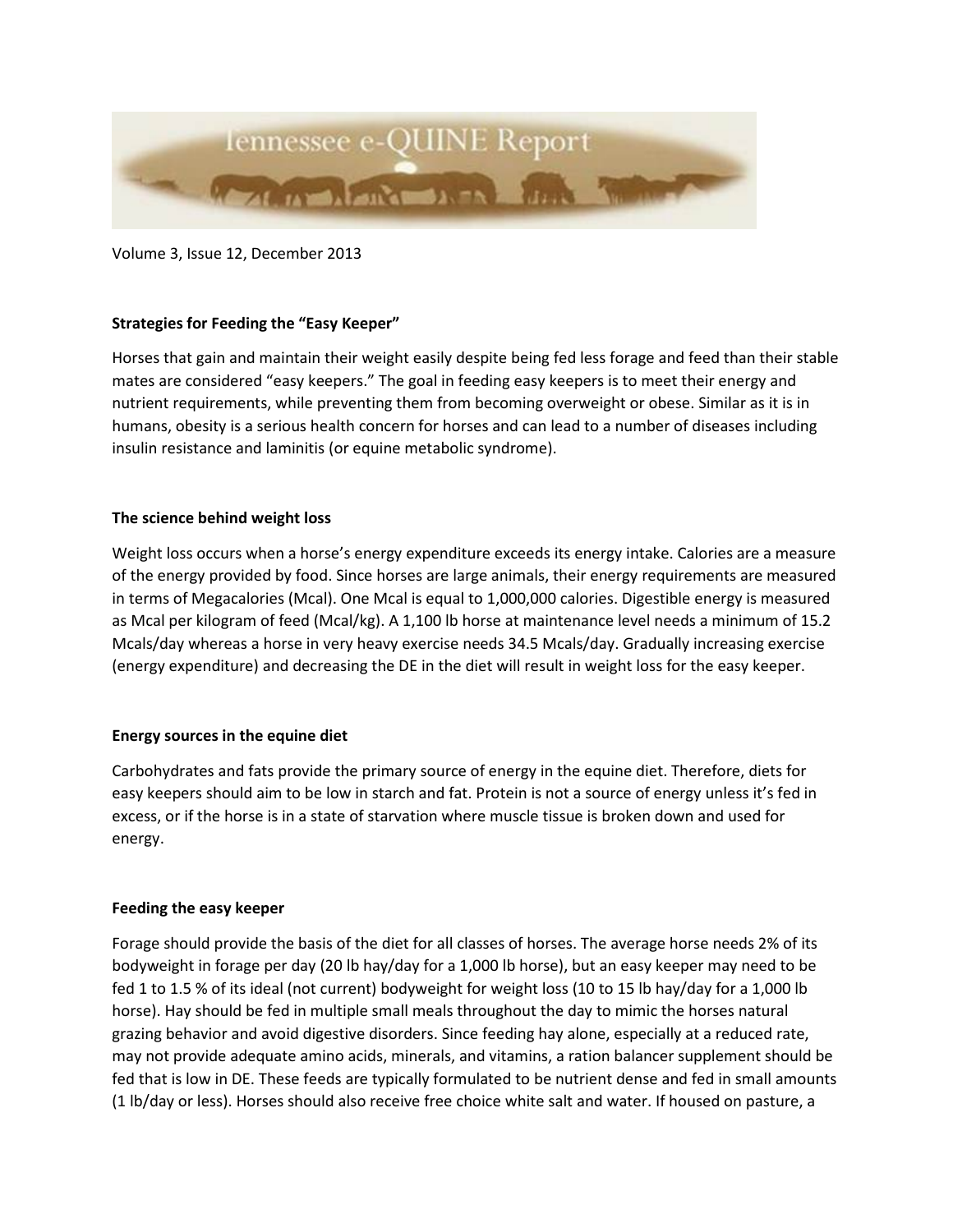

Volume 3, Issue 12, December 2013

## **Strategies for Feeding the "Easy Keeper"**

Horses that gain and maintain their weight easily despite being fed less forage and feed than their stable mates are considered "easy keepers." The goal in feeding easy keepers is to meet their energy and nutrient requirements, while preventing them from becoming overweight or obese. Similar as it is in humans, obesity is a serious health concern for horses and can lead to a number of diseases including insulin resistance and laminitis (or equine metabolic syndrome).

## **The science behind weight loss**

Weight loss occurs when a horse's energy expenditure exceeds its energy intake. Calories are a measure of the energy provided by food. Since horses are large animals, their energy requirements are measured in terms of Megacalories (Mcal). One Mcal is equal to 1,000,000 calories. Digestible energy is measured as Mcal per kilogram of feed (Mcal/kg). A 1,100 lb horse at maintenance level needs a minimum of 15.2 Mcals/day whereas a horse in very heavy exercise needs 34.5 Mcals/day. Gradually increasing exercise (energy expenditure) and decreasing the DE in the diet will result in weight loss for the easy keeper.

## **Energy sources in the equine diet**

Carbohydrates and fats provide the primary source of energy in the equine diet. Therefore, diets for easy keepers should aim to be low in starch and fat. Protein is not a source of energy unless it's fed in excess, or if the horse is in a state of starvation where muscle tissue is broken down and used for energy.

## **Feeding the easy keeper**

Forage should provide the basis of the diet for all classes of horses. The average horse needs 2% of its bodyweight in forage per day (20 lb hay/day for a 1,000 lb horse), but an easy keeper may need to be fed 1 to 1.5 % of its ideal (not current) bodyweight for weight loss (10 to 15 lb hay/day for a 1,000 lb horse). Hay should be fed in multiple small meals throughout the day to mimic the horses natural grazing behavior and avoid digestive disorders. Since feeding hay alone, especially at a reduced rate, may not provide adequate amino acids, minerals, and vitamins, a ration balancer supplement should be fed that is low in DE. These feeds are typically formulated to be nutrient dense and fed in small amounts (1 lb/day or less). Horses should also receive free choice white salt and water. If housed on pasture, a